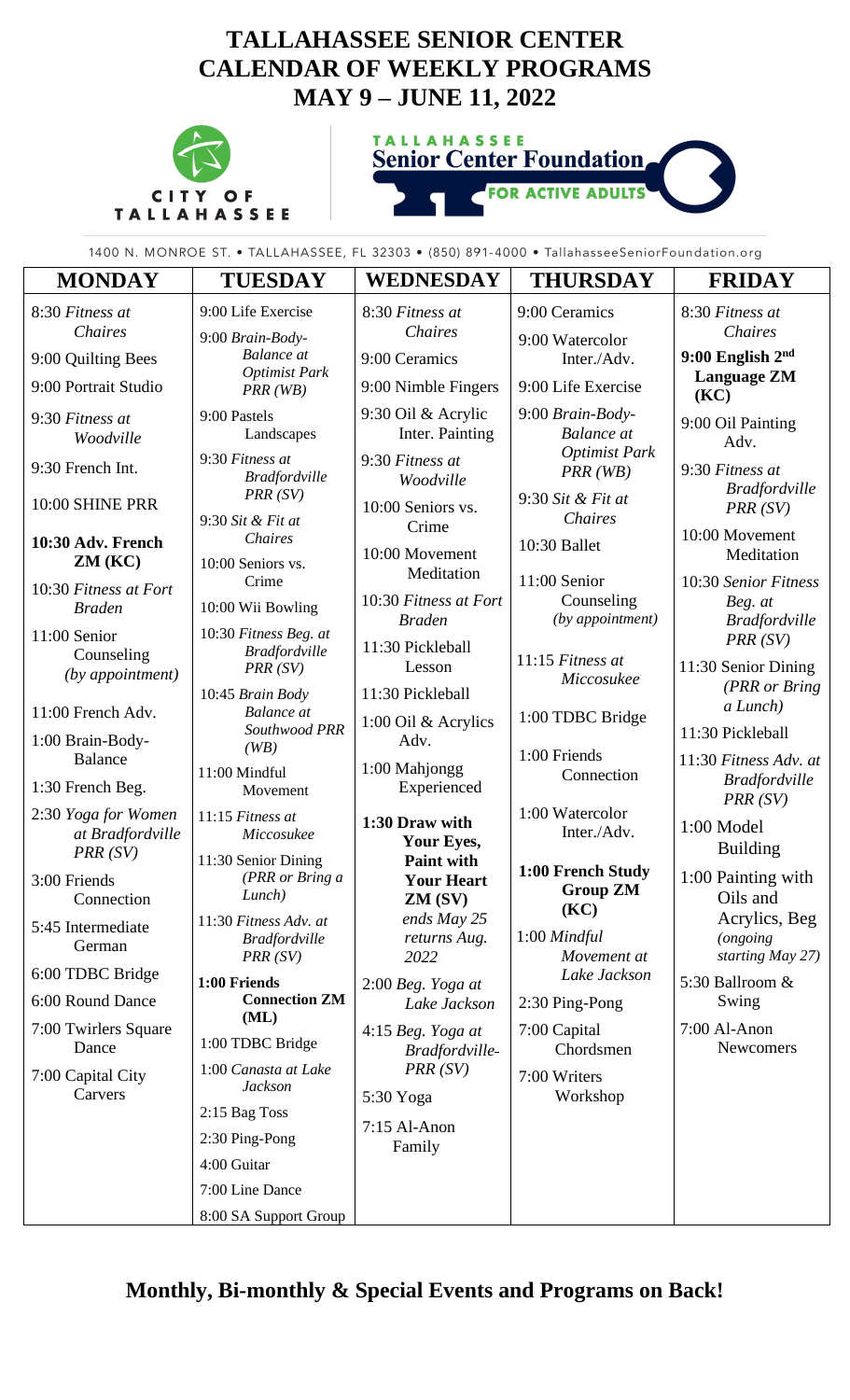## **TALLAHASSEE SENIOR CENTER CALENDAR OF WEEKLY PROGRAMS MAY 9 – JUNE 11, 2022**



**TALLAHASSEE Senior Center Foundation** 

**FOR ACTIVE** 

**ADULTS** 

1400 N. MONROE ST. • TALLAHASSEE, FL 32303 • (850) 891-4000 • TallahasseeSeniorFoundation.org

| <b>MONDAY</b>                                      | <b>TUESDAY</b>                                           | <b>WEDNESDAY</b>                                     | <b>THURSDAY</b>                                | <b>FRIDAY</b>                                            |
|----------------------------------------------------|----------------------------------------------------------|------------------------------------------------------|------------------------------------------------|----------------------------------------------------------|
| 8:30 Fitness at<br>Chaires                         | 9:00 Life Exercise<br>9:00 Brain-Body-                   | 8:30 Fitness at<br>Chaires                           | 9:00 Ceramics<br>9:00 Watercolor               | 8:30 Fitness at<br>Chaires                               |
| 9:00 Quilting Bees                                 | <b>Balance</b> at                                        | 9:00 Ceramics                                        | Inter./Adv.                                    | $9:00$ English $2nd$                                     |
| 9:00 Portrait Studio                               | <b>Optimist Park</b><br>$PRR$ (WB)                       | 9:00 Nimble Fingers                                  | 9:00 Life Exercise                             | <b>Language ZM</b><br>(KC)                               |
| 9:30 Fitness at<br>Woodville                       | 9:00 Pastels<br>Landscapes                               | 9:30 Oil & Acrylic<br>Inter. Painting                | 9:00 Brain-Body-<br><b>Balance</b> at          | 9:00 Oil Painting<br>Adv.                                |
| 9:30 French Int.                                   | 9:30 Fitness at<br><b>Bradfordville</b>                  | 9:30 Fitness at<br>Woodville                         | <b>Optimist Park</b><br>PRR(WB)                | 9:30 Fitness at                                          |
| 10:00 SHINE PRR                                    | PRR(SV)<br>9:30 Sit & Fit at                             | 10:00 Seniors vs.                                    | 9:30 Sit & Fit at<br>Chaires                   | <b>Bradfordville</b><br>PRR(SV)                          |
| 10:30 Adv. French<br>ZM(KC)                        | <b>Chaires</b><br>10:00 Seniors vs.                      | Crime<br>10:00 Movement                              | 10:30 Ballet                                   | 10:00 Movement<br>Meditation                             |
| 10:30 Fitness at Fort<br><b>Braden</b>             | Crime<br>10:00 Wii Bowling                               | Meditation<br>10:30 Fitness at Fort<br><b>Braden</b> | 11:00 Senior<br>Counseling<br>(by appointment) | 10:30 Senior Fitness<br>Beg. at<br><b>Bradfordville</b>  |
| 11:00 Senior<br>Counseling<br>(by appointment)     | 10:30 Fitness Beg. at<br><b>Bradfordville</b><br>PRR(SV) | 11:30 Pickleball<br>Lesson                           | 11:15 Fitness at<br>Miccosukee                 | PRR(SV)<br>11:30 Senior Dining                           |
| 11:00 French Adv.                                  | 10:45 Brain Body<br><b>Balance</b> at                    | 11:30 Pickleball<br>1:00 Oil & Acrylics              | 1:00 TDBC Bridge                               | (PRR or Bring<br>a Lunch)                                |
| 1:00 Brain-Body-                                   | Southwood PRR<br>(WB)                                    | Adv.                                                 |                                                | 11:30 Pickleball                                         |
| <b>Balance</b><br>1:30 French Beg.                 | 11:00 Mindful<br>Movement                                | 1:00 Mahjongg<br>Experienced                         | 1:00 Friends<br>Connection                     | 11:30 Fitness Adv. at<br><b>Bradfordville</b><br>PRR(SV) |
| 2:30 Yoga for Women<br>at Bradfordville<br>PRR(SV) | 11:15 Fitness at<br>Miccosukee                           | 1:30 Draw with<br>Your Eyes,                         | 1:00 Watercolor<br>Inter./Adv.                 | 1:00 Model<br><b>Building</b>                            |
| 3:00 Friends<br>Connection                         | 11:30 Senior Dining<br>(PRR or Bring a<br>Lunch)         | <b>Paint with</b><br><b>Your Heart</b><br>ZM (SV)    | 1:00 French Study<br><b>Group ZM</b>           | 1:00 Painting with<br>Oils and                           |
| 5:45 Intermediate<br>German                        | 11:30 Fitness Adv. at<br><b>Bradfordville</b><br>PRR(SV) | ends May 25<br>returns Aug.<br>2022                  | (KC)<br>1:00 Mindful<br>Movement at            | Acrylics, Beg<br><i>(ongoing</i><br>starting May 27)     |
| 6:00 TDBC Bridge                                   | 1:00 Friends                                             | $2:00$ Beg. Yoga at                                  | Lake Jackson                                   | 5:30 Ballroom &                                          |
| 6:00 Round Dance                                   | <b>Connection ZM</b><br>(ML)                             | Lake Jackson                                         | 2:30 Ping-Pong                                 | Swing                                                    |
| 7:00 Twirlers Square<br>Dance                      | 1:00 TDBC Bridge                                         | 4:15 Beg. Yoga at<br>Bradfordville-                  | 7:00 Capital<br>Chordsmen                      | 7:00 Al-Anon<br>Newcomers                                |
| 7:00 Capital City<br>Carvers                       | 1:00 Canasta at Lake<br><b>Jackson</b>                   | PRR(SV)                                              | 7:00 Writers<br>Workshop                       |                                                          |
|                                                    | 2:15 Bag Toss                                            | 5:30 Yoga<br>$7:15$ Al-Anon<br>Family                |                                                |                                                          |
|                                                    | 2:30 Ping-Pong                                           |                                                      |                                                |                                                          |
|                                                    | 4:00 Guitar                                              |                                                      |                                                |                                                          |
|                                                    | 7:00 Line Dance                                          |                                                      |                                                |                                                          |
|                                                    | 8:00 SA Support Group                                    |                                                      |                                                |                                                          |